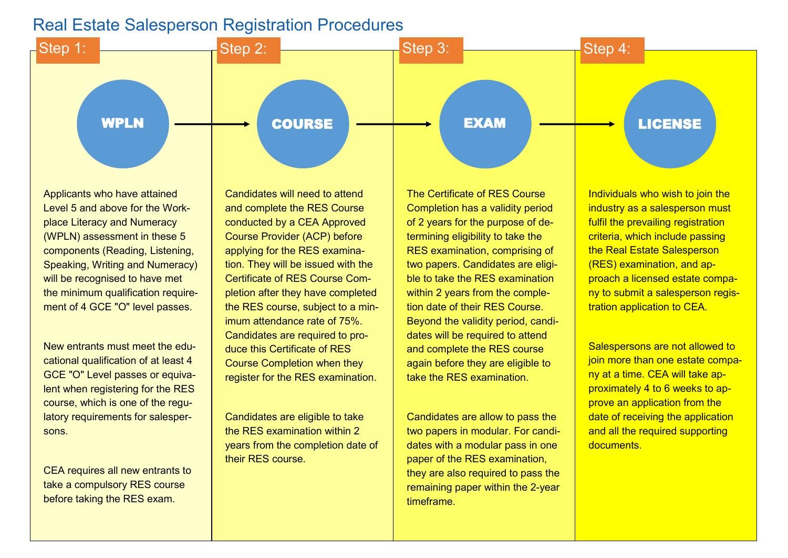## Real Estate Salesperson Registration Procedures



Applicants who have attained Level 5 and above for the [Work](http://www.ssg.gov.sg/wsq/wpl-wpn-wps.html?_ga=2.27696124.1936615778.1525416909-732797666.1525416909)[place Literacy and Numeracy](http://www.ssg.gov.sg/wsq/wpl-wpn-wps.html?_ga=2.27696124.1936615778.1525416909-732797666.1525416909)  [\(WPLN\) assessment](http://www.ssg.gov.sg/wsq/wpl-wpn-wps.html?_ga=2.27696124.1936615778.1525416909-732797666.1525416909) in these 5 components (Reading, Listening, Speaking, Writing and Numeracy) will be recognised to have met the minimum qualification requirement of 4 GCE "O" level passes.

New entrants must meet the educational qualification of at least 4 GCE "O" Level passes or equivalent when registering for the RES course, which is one of the regulatory requirements for salespersons.

CEA requires all new entrants to take a compulsory RES course before taking the RES exam.

Candidates will need to attend and complete the RES Course conducted by a CEA Approved Course Provider (ACP) before applying for the RES examination. They will be issued with the Certificate of RES Course Completion after they have completed the RES course, subject to a minimum attendance rate of 75%. Candidates are required to produce this Certificate of RES Course Completion when they register for the RES examination.

Candidates are eligible to take the RES examination within 2 years from the completion date of their RES course.

The Certificate of RES Course Completion has a validity period of 2 years for the purpose of determining eligibility to take the RES examination, comprising of two papers. Candidates are eligible to take the RES examination within 2 years from the completion date of their RES Course. Beyond the validity period, candidates will be required to attend and complete the RES course again before they are eligible to take the RES examination.

Candidates are allow to pass the two papers in modular. For candidates with a modular pass in one paper of the RES examination, they are also required to pass the remaining paper within the 2-year timeframe.

Individuals who wish to join the industry as a salesperson must fulfil the prevailing registration criteria, which include passing the [Real Estate Salesperson](https://www.cea.gov.sg/professionals/salesperson-registration-matters/apply-for-the-real-estate-salesperson-examination)  [\(RES\) examination,](https://www.cea.gov.sg/professionals/salesperson-registration-matters/apply-for-the-real-estate-salesperson-examination) and approach a licensed estate company to submit a salesperson registration application to CEA.

Salespersons are not allowed to join more than one estate company at a time. CEA will take approximately 4 to 6 weeks to approve an application from the date of receiving the application and all the required supporting documents.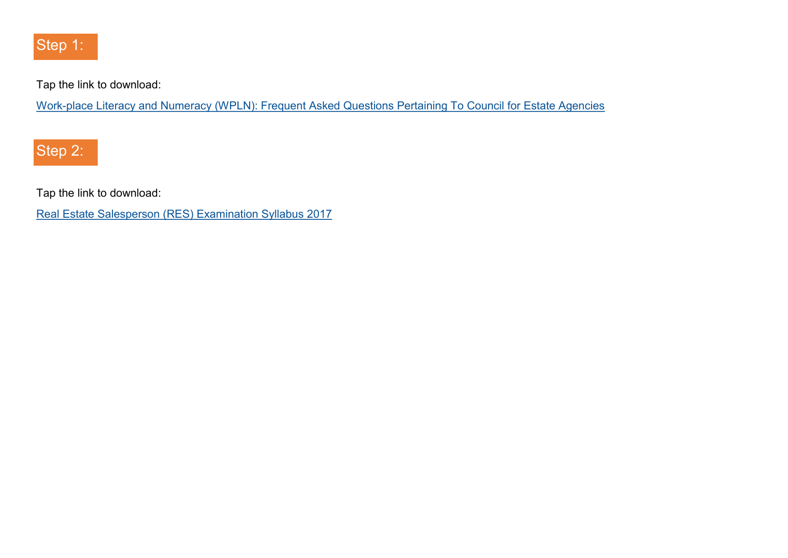

Tap the link to download:

Work-[place Literacy and Numeracy \(WPLN\): Frequent Asked Questions Pertaining To Council for Estate Agencies](https://bit.ly/2u6EoqU)

Step 2:

Tap the link to download:

[Real Estate Salesperson \(RES\) Examination Syllabus 2017](https://bit.ly/2qtd1nN)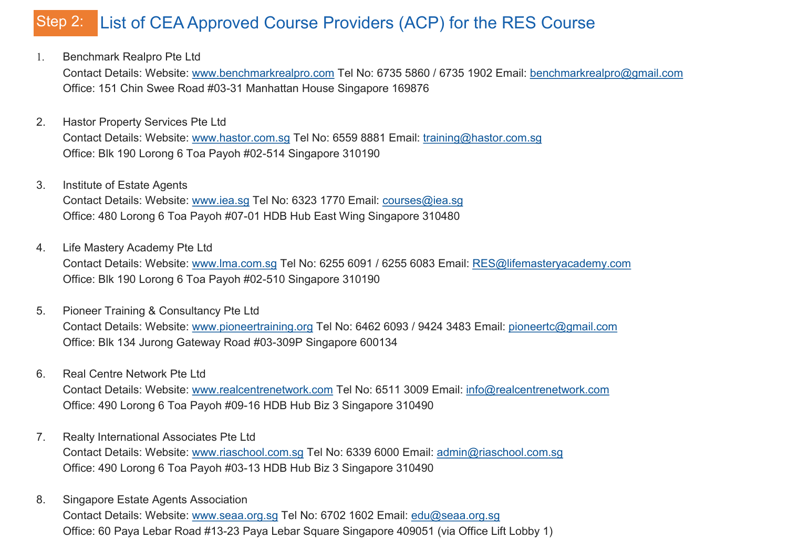#### List of CEA Approved Course Providers (ACP) for the RES Course Step 2:

1. Benchmark Realpro Pte Ltd

Contact Details: Website: [www.benchmarkrealpro.com](http://www.benchmarkrealpro.com/) Tel No: 6735 5860 / 6735 1902 Email: [benchmarkrealpro@gmail.com](mailto:benchmarkrealpro@gmail.com) Office: 151 Chin Swee Road #03-31 Manhattan House Singapore 169876

- 2. Hastor Property Services Pte Ltd Contact Details: Website: [www.hastor.com.sg](http://www.hastor.com.sg/) Tel No: 6559 8881 Email: [training@hastor.com.sg](mailto:training@hastor.com.sg) Office: Blk 190 Lorong 6 Toa Payoh #02-514 Singapore 310190
- 3. Institute of Estate Agents Contact Details: Website: [www.iea.sg](http://www.iea.sg/) Tel No: 6323 1770 Email: [courses@iea.sg](mailto:courses@iea.sg) Office: 480 Lorong 6 Toa Payoh #07-01 HDB Hub East Wing Singapore 310480
- 4. Life Mastery Academy Pte Ltd Contact Details: Website: [www.lma.com.sg](http://www.lma.com.sg/) Tel No: 6255 6091 / 6255 6083 Email: [RES@lifemasteryacademy.com](mailto:RES@lifemasteryacademy.com) Office: Blk 190 Lorong 6 Toa Payoh #02-510 Singapore 310190
- 5. Pioneer Training & Consultancy Pte Ltd Contact Details: Website: [www.pioneertraining.org](http://www.pioneertraining.org/) Tel No: 6462 6093 / 9424 3483 Email: [pioneertc@gmail.com](mailto:pioneertc@gmail.com) Office: Blk 134 Jurong Gateway Road #03-309P Singapore 600134
- 6. Real Centre Network Pte Ltd

Contact Details: Website: [www.realcentrenetwork.com](http://www.realcentrenetwork.com/) Tel No: 6511 3009 Email: [info@realcentrenetwork.com](mailto:info@realcentrenetwork.com) Office: 490 Lorong 6 Toa Payoh #09-16 HDB Hub Biz 3 Singapore 310490

7. Realty International Associates Pte Ltd

Contact Details: Website: [www.riaschool.com.sg](http://www.riaschool.com.sg/) Tel No: 6339 6000 Email: [admin@riaschool.com.sg](mailto:admin@riaschool.com.sg) Office: 490 Lorong 6 Toa Payoh #03-13 HDB Hub Biz 3 Singapore 310490

8. Singapore Estate Agents Association Contact Details: Website: [www.seaa.org.sg](http://www.seaa.org.sg/) Tel No: 6702 1602 Email: [edu@seaa.org.sg](mailto:edu@seaa.org.sg) Office: 60 Paya Lebar Road #13-23 Paya Lebar Square Singapore 409051 (via Office Lift Lobby 1)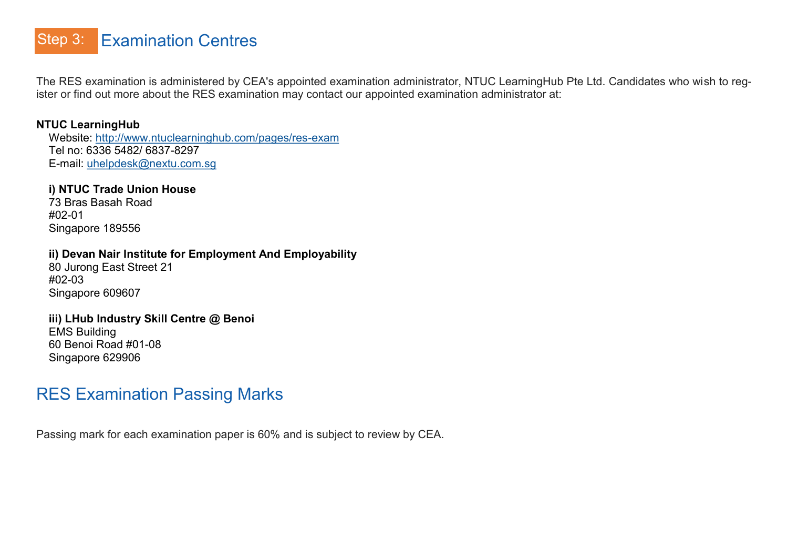#### Examination Centres Step 3:

The RES examination is administered by CEA's appointed examination administrator, NTUC LearningHub Pte Ltd. Candidates who wish to register or find out more about the RES examination may contact our appointed examination administrator at:

### **NTUC LearningHub**

 Website: [http://www.ntuclearninghub.com/pages/res](http://www.ntuclearninghub.com/pages/res-exam)-exam Tel no: 6336 5482/ 6837-8297 E-mail: [uhelpdesk@nextu.com.sg](mailto:uhelpdesk@nextu.com.sg)

### **i) NTUC Trade Union House**

 73 Bras Basah Road #02-01 Singapore 189556

### **ii) Devan Nair Institute for Employment And Employability**

 80 Jurong East Street 21 #02-03 Singapore 609607

#### **iii) LHub Industry Skill Centre @ Benoi**

 EMS Building 60 Benoi Road #01-08 Singapore 629906

# RES Examination Passing Marks

Passing mark for each examination paper is 60% and is subject to review by CEA.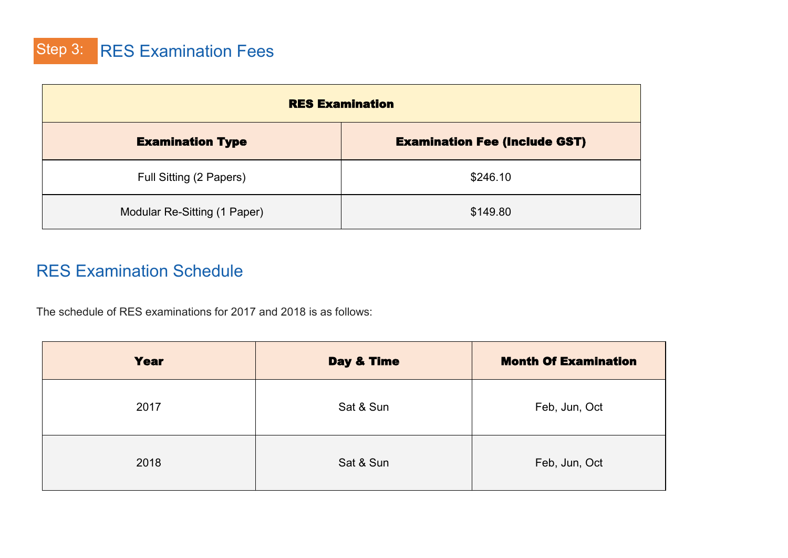Step 3: RES Examination Fees

| <b>RES Examination</b>       |                                      |  |
|------------------------------|--------------------------------------|--|
| <b>Examination Type</b>      | <b>Examination Fee (Include GST)</b> |  |
| Full Sitting (2 Papers)      | \$246.10                             |  |
| Modular Re-Sitting (1 Paper) | \$149.80                             |  |

# RES Examination Schedule

The schedule of RES examinations for 2017 and 2018 is as follows:

| <b>Year</b> | Day & Time | <b>Month Of Examination</b> |
|-------------|------------|-----------------------------|
| 2017        | Sat & Sun  | Feb, Jun, Oct               |
| 2018        | Sat & Sun  | Feb, Jun, Oct               |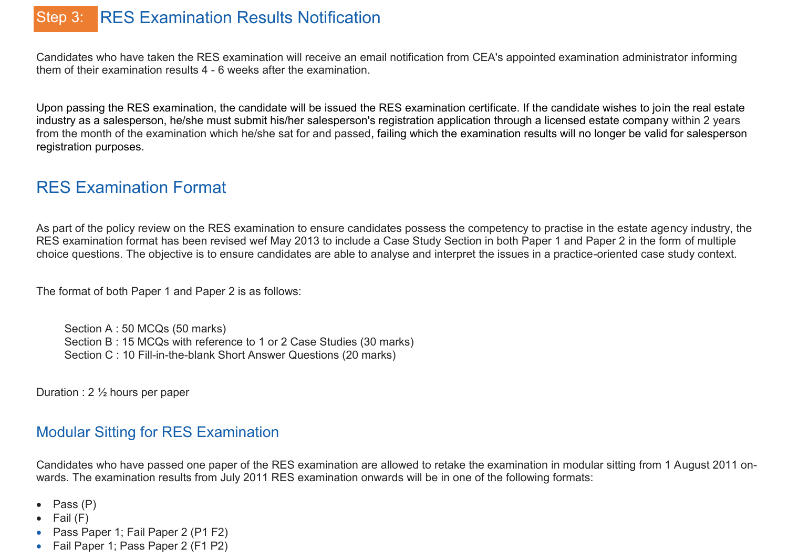# Step 3: RES Examination Results Notification

Candidates who have taken the RES examination will receive an email notification from CEA's appointed examination administrator informing them of their examination results 4 - 6 weeks after the examination.

Upon passing the RES examination, the candidate will be issued the RES examination certificate. If the candidate wishes to join the real estate industry as a salesperson, he/she must submit his/her salesperson's registration application through a licensed estate company within 2 years from the month of the examination which he/she sat for and passed, failing which the examination results will no longer be valid for salesperson registration purposes.

# RES Examination Format

As part of the policy review on the RES examination to ensure candidates possess the competency to practise in the estate agency industry, the RES examination format has been revised wef May 2013 to include a Case Study Section in both Paper 1 and Paper 2 in the form of multiple choice questions. The objective is to ensure candidates are able to analyse and interpret the issues in a practice-oriented case study context.

The format of both Paper 1 and Paper 2 is as follows:

Section A : 50 MCQs (50 marks) Section B : 15 MCQs with reference to 1 or 2 Case Studies (30 marks) Section C : 10 Fill-in-the-blank Short Answer Questions (20 marks)

Duration : 2 ½ hours per paper

### Modular Sitting for RES Examination

Candidates who have passed one paper of the RES examination are allowed to retake the examination in modular sitting from 1 August 2011 onwards. The examination results from July 2011 RES examination onwards will be in one of the following formats:

- Pass (P)
- Fail  $(F)$
- Pass Paper 1; Fail Paper 2 (P1 F2)
- Fail Paper 1; Pass Paper 2 (F1 P2)